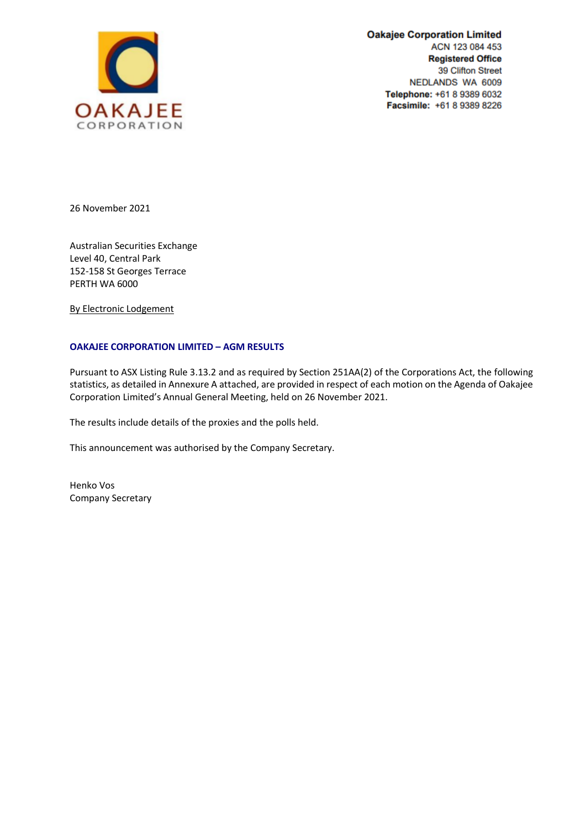

**Oakajee Corporation Limited** ACN 123 084 453 **Registered Office** 39 Clifton Street NEDLANDS WA 6009 Telephone: +61 8 9389 6032 Facsimile: +61 8 9389 8226

26 November 2021

Australian Securities Exchange Level 40, Central Park 152-158 St Georges Terrace PERTH WA 6000

By Electronic Lodgement

## **OAKAJEE CORPORATION LIMITED – AGM RESULTS**

Pursuant to ASX Listing Rule 3.13.2 and as required by Section 251AA(2) of the Corporations Act, the following statistics, as detailed in Annexure A attached, are provided in respect of each motion on the Agenda of Oakajee Corporation Limited's Annual General Meeting, held on 26 November 2021.

The results include details of the proxies and the polls held.

This announcement was authorised by the Company Secretary.

Henko Vos Company Secretary